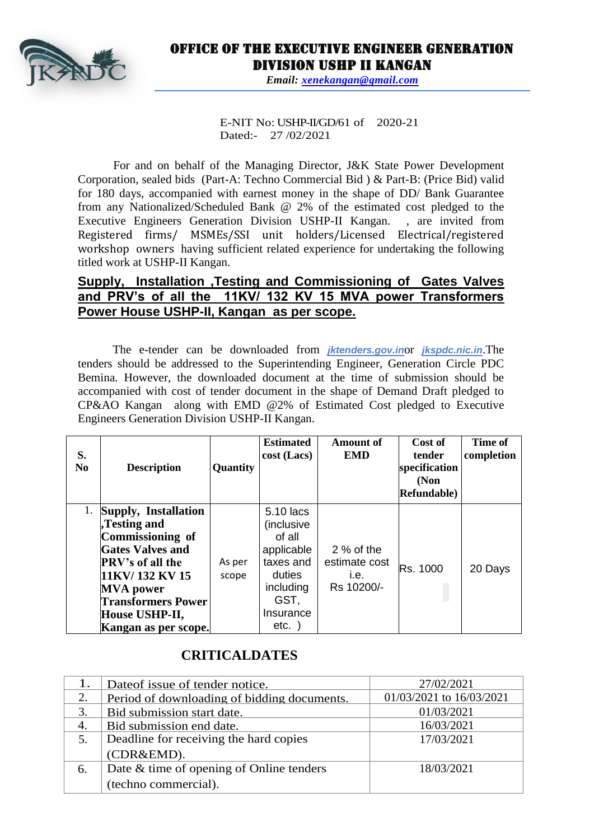

# Office of the Executive Engineer Generation Division USHP II Kangan

*Email: [xenekangan@gmail.com](mailto:xenekangan@gmail.com)*

E-NIT No: USHP-II/GD/61 of 2020-21 Dated:- 27 /02/2021

For and on behalf of the Managing Director, J&K State Power Development Corporation, sealed bids (Part-A: Techno Commercial Bid ) & Part-B: (Price Bid) valid for 180 days, accompanied with earnest money in the shape of DD/ Bank Guarantee from any Nationalized/Scheduled Bank @ 2% of the estimated cost pledged to the Executive Engineers Generation Division USHP-II Kangan. , are invited from Registered firms/ MSMEs/SSI unit holders/Licensed Electrical/registered workshop owners having sufficient related experience for undertaking the following titled work at USHP-II Kangan.

### **Supply, Installation ,Testing and Commissioning of Gates Valves and PRV's of all the 11KV/ 132 KV 15 MVA power Transformers Power House USHP-II, Kangan as per scope.**

The e-tender can be downloaded from *jktenders.gov.in*or *jkspdc.nic.in*.The tenders should be addressed to the Superintending Engineer, Generation Circle PDC Bemina. However, the downloaded document at the time of submission should be accompanied with cost of tender document in the shape of Demand Draft pledged to CP&AO Kangan along with EMD @2% of Estimated Cost pledged to Executive Engineers Generation Division USHP-II Kangan.

| S.<br>N <sub>0</sub> | <b>Description</b>                                                                                                                                                                                                            | Quantity        | <b>Estimated</b><br>$cost$ (Lacs)                                                                                    | <b>Amount of</b><br><b>EMD</b>                     | Cost of<br>tender<br>specification<br>(Non<br>Refundable) | Time of<br>completion |
|----------------------|-------------------------------------------------------------------------------------------------------------------------------------------------------------------------------------------------------------------------------|-----------------|----------------------------------------------------------------------------------------------------------------------|----------------------------------------------------|-----------------------------------------------------------|-----------------------|
|                      | 1. Supply, Installation<br>Testing and<br>Commissioning of<br><b>Gates Valves and</b><br><b>PRV's of all the</b><br>11KV/132 KV 15<br><b>MVA</b> power<br><b>Transformers Power</b><br>House USHP-II,<br>Kangan as per scope. | As per<br>scope | 5.10 lacs<br>(inclusive<br>of all<br>applicable<br>taxes and<br>duties<br>including<br>GST,<br>Insurance<br>$etc.$ ) | $2%$ of the<br>estimate cost<br>i.e.<br>Rs 10200/- | Rs. 1000                                                  | 20 Days               |

## **CRITICALDATES**

|    | Date of issue of tender notice.             | 27/02/2021               |  |
|----|---------------------------------------------|--------------------------|--|
|    | Period of downloading of bidding documents. | 01/03/2021 to 16/03/2021 |  |
| 3. | Bid submission start date.                  | 01/03/2021               |  |
| 4. | Bid submission end date.                    | 16/03/2021               |  |
|    | Deadline for receiving the hard copies      | 17/03/2021               |  |
|    | (CDR&EMD).                                  |                          |  |
| 6. | Date & time of opening of Online tenders    | 18/03/2021               |  |
|    | (techno commercial).                        |                          |  |